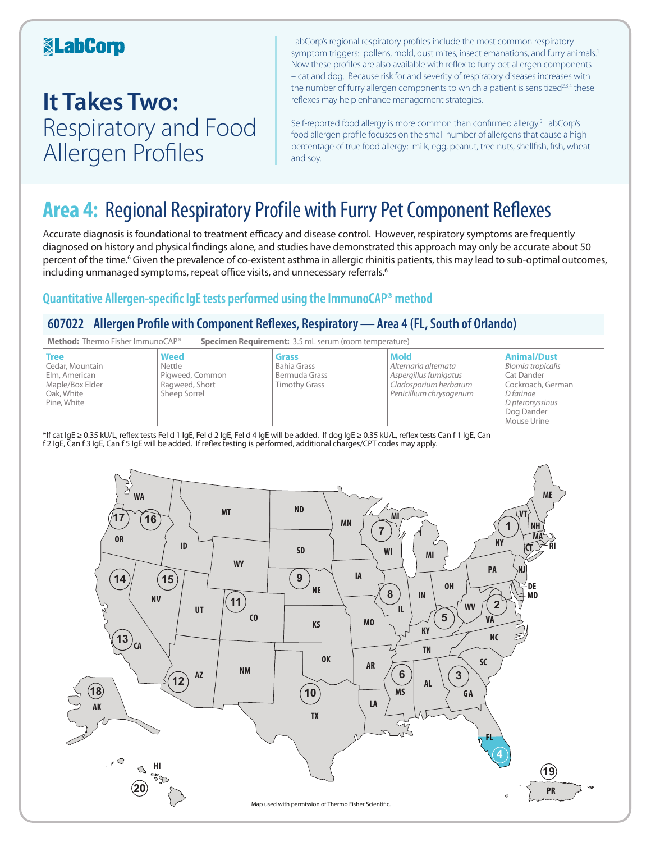# **KabCorp**

# **It Takes Two:**  Respiratory and Food Allergen Profiles

LabCorp's regional respiratory profiles include the most common respiratory symptom triggers: pollens, mold, dust mites, insect emanations, and furry animals.<sup>1</sup> Now these profiles are also available with reflex to furry pet allergen components – cat and dog. Because risk for and severity of respiratory diseases increases with the number of furry allergen components to which a patient is sensitized<sup>2,3,4</sup> these reflexes may help enhance management strategies.

Self-reported food allergy is more common than confirmed allergy.<sup>5</sup> LabCorp's food allergen profile focuses on the small number of allergens that cause a high percentage of true food allergy: milk, egg, peanut, tree nuts, shellfish, fish, wheat and soy.

# **Area 4:** Regional Respiratory Profile with Furry Pet Component Reflexes

Accurate diagnosis is foundational to treatment efficacy and disease control. However, respiratory symptoms are frequently diagnosed on history and physical findings alone, and studies have demonstrated this approach may only be accurate about 50 percent of the time.<sup>6</sup> Given the prevalence of co-existent asthma in allergic rhinitis patients, this may lead to sub-optimal outcomes, including unmanaged symptoms, repeat office visits, and unnecessary referrals.<sup>6</sup>

### **Quantitative Allergen-specific IgE tests performed using the ImmunoCAP® method**

## **607022 Allergen Profile with Component Reflexes, Respiratory—Area 4 (FL, South of Orlando)**